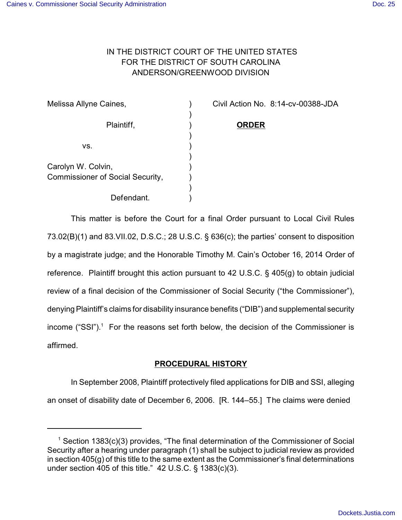# IN THE DISTRICT COURT OF THE UNITED STATES FOR THE DISTRICT OF SOUTH CAROLINA ANDERSON/GREENWOOD DIVISION

| Melissa Allyne Caines,                  |  |
|-----------------------------------------|--|
| Plaintiff,                              |  |
|                                         |  |
| VS.                                     |  |
| Carolyn W. Colvin,                      |  |
| <b>Commissioner of Social Security,</b> |  |
|                                         |  |
| Defendant.                              |  |

Civil Action No. 8:14-cv-00388-JDA

Plaintiff, ) **ORDER**

erendant. This matter is before the Court for a final Order pursuant to Local Civil Rules 73.02(B)(1) and 83.VII.02, D.S.C.; 28 U.S.C. § 636(c); the parties' consent to disposition by a magistrate judge; and the Honorable Timothy M. Cain's October 16, 2014 Order of reference. Plaintiff brought this action pursuant to 42 U.S.C. § 405(g) to obtain judicial review of a final decision of the Commissioner of Social Security ("the Commissioner"), denying Plaintiff's claims for disability insurance benefits ("DIB") and supplemental security income ("SSI").<sup>1</sup> For the reasons set forth below, the decision of the Commissioner is

affirmed.

# **PROCEDURAL HISTORY**

In September 2008, Plaintiff protectively filed applications for DIB and SSI, alleging an onset of disability date of December 6, 2006. [R. 144–55.] The claims were denied

 $1$  Section 1383(c)(3) provides, "The final determination of the Commissioner of Social Security after a hearing under paragraph (1) shall be subject to judicial review as provided in section 405(g) of this title to the same extent as the Commissioner's final determinations under section  $405$  of this title." 42 U.S.C. § 1383(c)(3).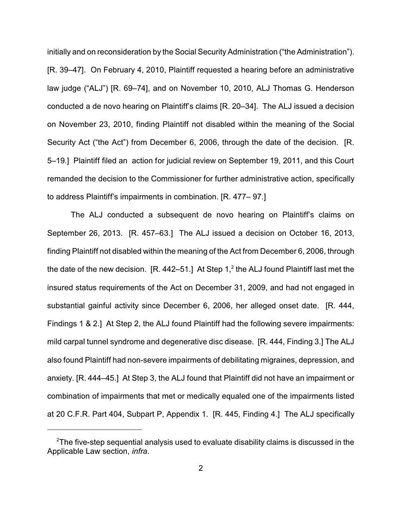initially and on reconsideration by the Social Security Administration ("the Administration"). [R. 39–47]. On February 4, 2010, Plaintiff requested a hearing before an administrative law judge ("ALJ") [R. 69–74], and on November 10, 2010, ALJ Thomas G. Henderson conducted a de novo hearing on Plaintiff's claims [R. 20–34]. The ALJ issued a decision on November 23, 2010, finding Plaintiff not disabled within the meaning of the Social Security Act ("the Act") from December 6, 2006, through the date of the decision. [R. 5–19.] Plaintiff filed an action for judicial review on September 19, 2011, and this Court remanded the decision to the Commissioner for further administrative action, specifically to address Plaintiff's impairments in combination. [R. 477– 97.]

The ALJ conducted a subsequent de novo hearing on Plaintiff's claims on September 26, 2013. [R. 457–63.] The ALJ issued a decision on October 16, 2013, finding Plaintiff not disabled within the meaning of the Act from December 6, 2006, through the date of the new decision.  $[R. 442–51.]$  At Step 1,<sup>2</sup> the ALJ found Plaintiff last met the insured status requirements of the Act on December 31, 2009, and had not engaged in substantial gainful activity since December 6, 2006, her alleged onset date. [R. 444, Findings 1 & 2.] At Step 2, the ALJ found Plaintiff had the following severe impairments: mild carpal tunnel syndrome and degenerative disc disease. [R. 444, Finding 3.] The ALJ also found Plaintiff had non-severe impairments of debilitating migraines, depression, and anxiety. [R. 444–45.] At Step 3, the ALJ found that Plaintiff did not have an impairment or combination of impairments that met or medically equaled one of the impairments listed at 20 C.F.R. Part 404, Subpart P, Appendix 1. [R. 445, Finding 4.] The ALJ specifically

 $2$ The five-step sequential analysis used to evaluate disability claims is discussed in the Applicable Law section, *infra*.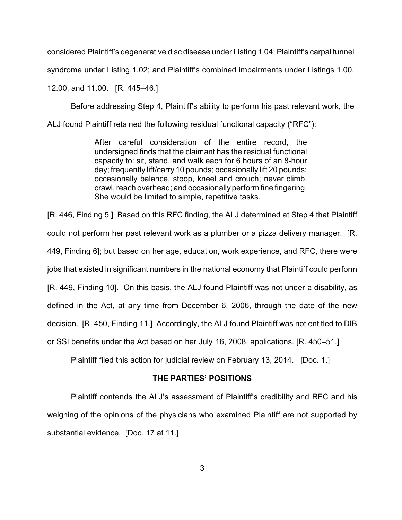considered Plaintiff's degenerative disc disease under Listing 1.04; Plaintiff's carpal tunnel

syndrome under Listing 1.02; and Plaintiff's combined impairments under Listings 1.00,

12.00, and 11.00. [R. 445–46.]

Before addressing Step 4, Plaintiff's ability to perform his past relevant work, the

ALJ found Plaintiff retained the following residual functional capacity ("RFC"):

After careful consideration of the entire record, the undersigned finds that the claimant has the residual functional capacity to: sit, stand, and walk each for 6 hours of an 8-hour day; frequently lift/carry 10 pounds; occasionally lift 20 pounds; occasionally balance, stoop, kneel and crouch; never climb, crawl, reach overhead; and occasionally perform fine fingering. She would be limited to simple, repetitive tasks.

[R. 446, Finding 5.] Based on this RFC finding, the ALJ determined at Step 4 that Plaintiff could not perform her past relevant work as a plumber or a pizza delivery manager. [R. 449, Finding 6]; but based on her age, education, work experience, and RFC, there were jobs that existed in significant numbers in the national economy that Plaintiff could perform [R. 449, Finding 10]. On this basis, the ALJ found Plaintiff was not under a disability, as defined in the Act, at any time from December 6, 2006, through the date of the new decision. [R. 450, Finding 11.] Accordingly, the ALJ found Plaintiff was not entitled to DIB or SSI benefits under the Act based on her July 16, 2008, applications. [R. 450–51.]

Plaintiff filed this action for judicial review on February 13, 2014. [Doc. 1.]

# **THE PARTIES' POSITIONS**

Plaintiff contends the ALJ's assessment of Plaintiff's credibility and RFC and his weighing of the opinions of the physicians who examined Plaintiff are not supported by substantial evidence. [Doc. 17 at 11.]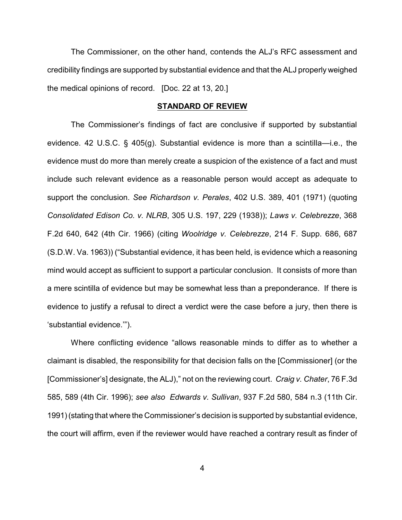The Commissioner, on the other hand, contends the ALJ's RFC assessment and credibility findings are supported by substantial evidence and that the ALJ properly weighed the medical opinions of record. [Doc. 22 at 13, 20.]

#### **STANDARD OF REVIEW**

The Commissioner's findings of fact are conclusive if supported by substantial evidence. 42 U.S.C. § 405(g). Substantial evidence is more than a scintilla—i.e., the evidence must do more than merely create a suspicion of the existence of a fact and must include such relevant evidence as a reasonable person would accept as adequate to support the conclusion. *See Richardson v. Perales*, 402 U.S. 389, 401 (1971) (quoting *Consolidated Edison Co. v. NLRB*, 305 U.S. 197, 229 (1938)); *Laws v. Celebrezze*, 368 F.2d 640, 642 (4th Cir. 1966) (citing *Woolridge v. Celebrezze*, 214 F. Supp. 686, 687 (S.D.W. Va. 1963)) ("Substantial evidence, it has been held, is evidence which a reasoning mind would accept as sufficient to support a particular conclusion. It consists of more than a mere scintilla of evidence but may be somewhat less than a preponderance. If there is evidence to justify a refusal to direct a verdict were the case before a jury, then there is 'substantial evidence.'").

Where conflicting evidence "allows reasonable minds to differ as to whether a claimant is disabled, the responsibility for that decision falls on the [Commissioner] (or the [Commissioner's] designate, the ALJ)," not on the reviewing court. *Craig v. Chater*, 76 F.3d 585, 589 (4th Cir. 1996); *see also Edwards v. Sullivan*, 937 F.2d 580, 584 n.3 (11th Cir. 1991)(stating that where the Commissioner's decision is supported by substantial evidence, the court will affirm, even if the reviewer would have reached a contrary result as finder of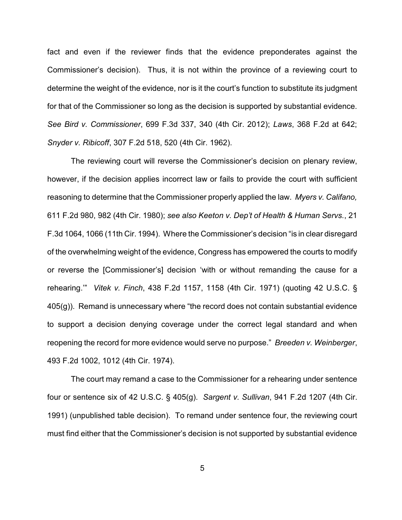fact and even if the reviewer finds that the evidence preponderates against the Commissioner's decision). Thus, it is not within the province of a reviewing court to determine the weight of the evidence, nor is it the court's function to substitute its judgment for that of the Commissioner so long as the decision is supported by substantial evidence. *See Bird v. Commissioner*, 699 F.3d 337, 340 (4th Cir. 2012); *Laws*, 368 F.2d at 642; *Snyder v. Ribicoff*, 307 F.2d 518, 520 (4th Cir. 1962).

The reviewing court will reverse the Commissioner's decision on plenary review, however, if the decision applies incorrect law or fails to provide the court with sufficient reasoning to determine that the Commissioner properly applied the law. *Myers v. Califano,* 611 F.2d 980, 982 (4th Cir. 1980); *see also Keeton v. Dep't of Health & Human Servs.*, 21 F.3d 1064, 1066 (11th Cir. 1994). Where the Commissioner's decision "is in clear disregard of the overwhelming weight of the evidence, Congress has empowered the courts to modify or reverse the [Commissioner's] decision 'with or without remanding the cause for a rehearing.'" *Vitek v. Finch*, 438 F.2d 1157, 1158 (4th Cir. 1971) (quoting 42 U.S.C. § 405(g)). Remand is unnecessary where "the record does not contain substantial evidence to support a decision denying coverage under the correct legal standard and when reopening the record for more evidence would serve no purpose." *Breeden v. Weinberger*, 493 F.2d 1002, 1012 (4th Cir. 1974).

The court may remand a case to the Commissioner for a rehearing under sentence four or sentence six of 42 U.S.C. § 405(g). *Sargent v. Sullivan*, 941 F.2d 1207 (4th Cir. 1991) (unpublished table decision). To remand under sentence four, the reviewing court must find either that the Commissioner's decision is not supported by substantial evidence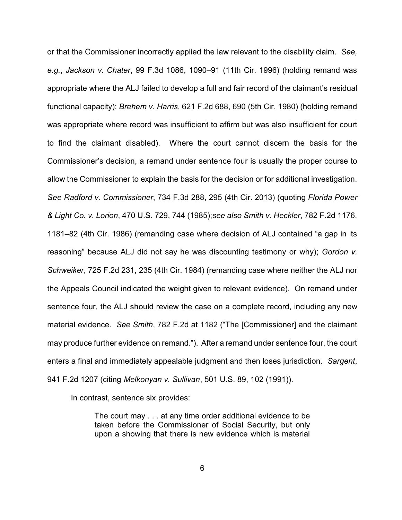or that the Commissioner incorrectly applied the law relevant to the disability claim. *See, e.g.*, *Jackson v. Chater*, 99 F.3d 1086, 1090–91 (11th Cir. 1996) (holding remand was appropriate where the ALJ failed to develop a full and fair record of the claimant's residual functional capacity); *Brehem v. Harris*, 621 F.2d 688, 690 (5th Cir. 1980) (holding remand was appropriate where record was insufficient to affirm but was also insufficient for court to find the claimant disabled). Where the court cannot discern the basis for the Commissioner's decision, a remand under sentence four is usually the proper course to allow the Commissioner to explain the basis for the decision or for additional investigation. *See Radford v. Commissioner*, 734 F.3d 288, 295 (4th Cir. 2013) (quoting *Florida Power & Light Co. v. Lorion*, 470 U.S. 729, 744 (1985);*see also Smith v. Heckler*, 782 F.2d 1176, 1181–82 (4th Cir. 1986) (remanding case where decision of ALJ contained "a gap in its reasoning" because ALJ did not say he was discounting testimony or why); *Gordon v. Schweiker*, 725 F.2d 231, 235 (4th Cir. 1984) (remanding case where neither the ALJ nor the Appeals Council indicated the weight given to relevant evidence). On remand under sentence four, the ALJ should review the case on a complete record, including any new material evidence. *See Smith*, 782 F.2d at 1182 ("The [Commissioner] and the claimant may produce further evidence on remand."). After a remand under sentence four, the court enters a final and immediately appealable judgment and then loses jurisdiction. *Sargent*, 941 F.2d 1207 (citing *Melkonyan v. Sullivan*, 501 U.S. 89, 102 (1991)).

In contrast, sentence six provides:

The court may . . . at any time order additional evidence to be taken before the Commissioner of Social Security, but only upon a showing that there is new evidence which is material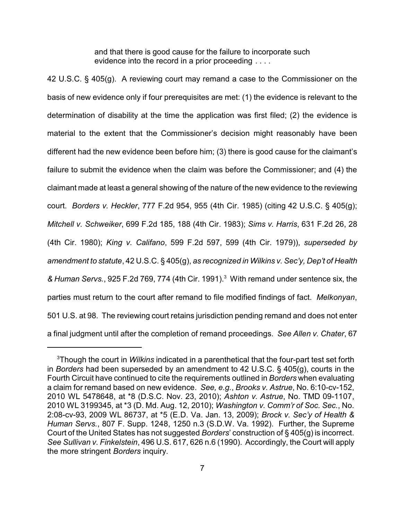and that there is good cause for the failure to incorporate such evidence into the record in a prior proceeding . . . .

42 U.S.C. § 405(g). A reviewing court may remand a case to the Commissioner on the basis of new evidence only if four prerequisites are met: (1) the evidence is relevant to the determination of disability at the time the application was first filed; (2) the evidence is material to the extent that the Commissioner's decision might reasonably have been different had the new evidence been before him; (3) there is good cause for the claimant's failure to submit the evidence when the claim was before the Commissioner; and (4) the claimant made at least a general showing of the nature of the new evidence to the reviewing court. *Borders v. Heckler*, 777 F.2d 954, 955 (4th Cir. 1985) (citing 42 U.S.C. § 405(g); *Mitchell v. Schweiker*, 699 F.2d 185, 188 (4th Cir. 1983); *Sims v. Harris*, 631 F.2d 26, 28 (4th Cir. 1980); *King v. Califano*, 599 F.2d 597, 599 (4th Cir. 1979)), *superseded by amendment to statute*, 42 U.S.C. § 405(g), *as recognized in Wilkins v. Sec'y, Dep't of Health & Human Servs.*, 925 F.2d 769, 774 (4th Cir. 1991).<sup>3</sup> With remand under sentence six, the parties must return to the court after remand to file modified findings of fact. *Melkonyan*, 501 U.S. at 98. The reviewing court retains jurisdiction pending remand and does not enter a final judgment until after the completion of remand proceedings. *See Allen v. Chater*, 67

<sup>3</sup>Though the court in *Wilkins* indicated in a parenthetical that the four-part test set forth in *Borders* had been superseded by an amendment to 42 U.S.C. § 405(g), courts in the Fourth Circuit have continued to cite the requirements outlined in *Borders* when evaluating a claim for remand based on new evidence. *See, e.g.*, *Brooks v. Astrue*, No. 6:10-cv-152, 2010 WL 5478648, at \*8 (D.S.C. Nov. 23, 2010); *Ashton v. Astrue*, No. TMD 09-1107, 2010 WL 3199345, at \*3 (D. Md. Aug. 12, 2010); *Washington v. Comm'r of Soc. Sec.*, No. 2:08-cv-93, 2009 WL 86737, at \*5 (E.D. Va. Jan. 13, 2009); *Brock v. Sec'y of Health & Human Servs.*, 807 F. Supp. 1248, 1250 n.3 (S.D.W. Va. 1992). Further, the Supreme Court of the United States has not suggested *Borders*' construction of § 405(g) is incorrect. *See Sullivan v. Finkelstein*, 496 U.S. 617, 626 n.6 (1990). Accordingly, the Court will apply the more stringent *Borders* inquiry.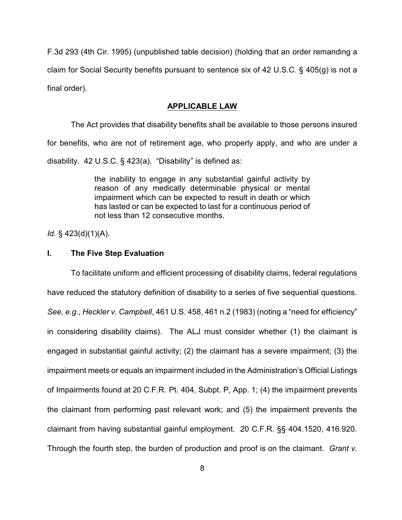F.3d 293 (4th Cir. 1995) (unpublished table decision) (holding that an order remanding a claim for Social Security benefits pursuant to sentence six of 42 U.S.C. § 405(g) is not a final order).

### **APPLICABLE LAW**

The Act provides that disability benefits shall be available to those persons insured for benefits, who are not of retirement age, who properly apply, and who are under a disability. 42 U.S.C. § 423(a). "Disability" is defined as:

> the inability to engage in any substantial gainful activity by reason of any medically determinable physical or mental impairment which can be expected to result in death or which has lasted or can be expected to last for a continuous period of not less than 12 consecutive months.

*Id.* § 423(d)(1)(A).

# **I. The Five Step Evaluation**

To facilitate uniform and efficient processing of disability claims, federal regulations have reduced the statutory definition of disability to a series of five sequential questions. *See, e.g.*, *Heckler v. Campbell*, 461 U.S. 458, 461 n.2 (1983) (noting a "need for efficiency" in considering disability claims). The ALJ must consider whether (1) the claimant is engaged in substantial gainful activity; (2) the claimant has a severe impairment; (3) the impairment meets or equals an impairment included in the Administration's Official Listings of Impairments found at 20 C.F.R. Pt. 404, Subpt. P, App. 1; (4) the impairment prevents the claimant from performing past relevant work; and (5) the impairment prevents the claimant from having substantial gainful employment. 20 C.F.R. §§ 404.1520, 416.920. Through the fourth step, the burden of production and proof is on the claimant. *Grant v.*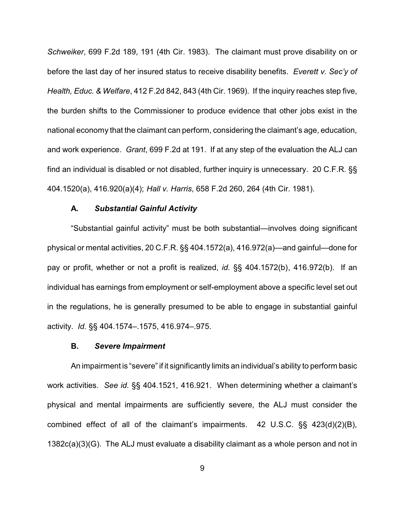*Schweiker*, 699 F.2d 189, 191 (4th Cir. 1983). The claimant must prove disability on or before the last day of her insured status to receive disability benefits. *Everett v. Sec'y of Health, Educ. & Welfare*, 412 F.2d 842, 843 (4th Cir. 1969). If the inquiry reaches step five, the burden shifts to the Commissioner to produce evidence that other jobs exist in the national economy that the claimant can perform, considering the claimant's age, education, and work experience. *Grant*, 699 F.2d at 191. If at any step of the evaluation the ALJ can find an individual is disabled or not disabled, further inquiry is unnecessary. 20 C.F.R. §§ 404.1520(a), 416.920(a)(4); *Hall v. Harris*, 658 F.2d 260, 264 (4th Cir. 1981).

### **A.** *Substantial Gainful Activity*

"Substantial gainful activity" must be both substantial—involves doing significant physical or mental activities, 20 C.F.R. §§ 404.1572(a), 416.972(a)—and gainful—done for pay or profit, whether or not a profit is realized, *id.* §§ 404.1572(b), 416.972(b). If an individual has earnings from employment or self-employment above a specific level set out in the regulations, he is generally presumed to be able to engage in substantial gainful activity. *Id.* §§ 404.1574–.1575, 416.974–.975.

### **B.** *Severe Impairment*

An impairment is "severe" if it significantly limits an individual's ability to perform basic work activities. *See id.* §§ 404.1521, 416.921. When determining whether a claimant's physical and mental impairments are sufficiently severe, the ALJ must consider the combined effect of all of the claimant's impairments. 42 U.S.C. §§ 423(d)(2)(B), 1382c(a)(3)(G). The ALJ must evaluate a disability claimant as a whole person and not in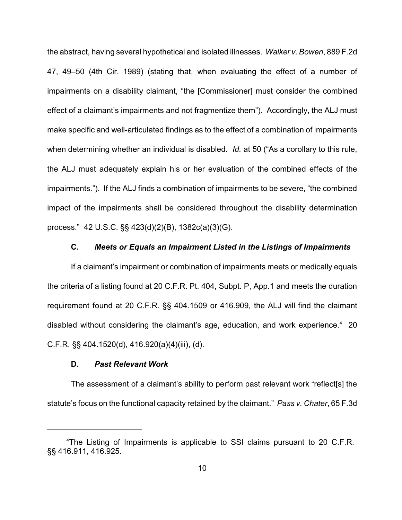the abstract, having several hypothetical and isolated illnesses. *Walker v. Bowen*, 889 F.2d 47, 49–50 (4th Cir. 1989) (stating that, when evaluating the effect of a number of impairments on a disability claimant, "the [Commissioner] must consider the combined effect of a claimant's impairments and not fragmentize them"). Accordingly, the ALJ must make specific and well-articulated findings as to the effect of a combination of impairments when determining whether an individual is disabled. *Id.* at 50 ("As a corollary to this rule, the ALJ must adequately explain his or her evaluation of the combined effects of the impairments."). If the ALJ finds a combination of impairments to be severe, "the combined impact of the impairments shall be considered throughout the disability determination process." 42 U.S.C. §§ 423(d)(2)(B), 1382c(a)(3)(G).

### **C.** *Meets or Equals an Impairment Listed in the Listings of Impairments*

If a claimant's impairment or combination of impairments meets or medically equals the criteria of a listing found at 20 C.F.R. Pt. 404, Subpt. P, App.1 and meets the duration requirement found at 20 C.F.R. §§ 404.1509 or 416.909, the ALJ will find the claimant disabled without considering the claimant's age, education, and work experience. $4$  20 C.F.R. §§ 404.1520(d), 416.920(a)(4)(iii), (d).

### **D.** *Past Relevant Work*

The assessment of a claimant's ability to perform past relevant work "reflect[s] the statute's focus on the functional capacity retained by the claimant." *Pass v. Chater*, 65 F.3d

<sup>&</sup>lt;sup>4</sup>The Listing of Impairments is applicable to SSI claims pursuant to 20 C.F.R. §§ 416.911, 416.925.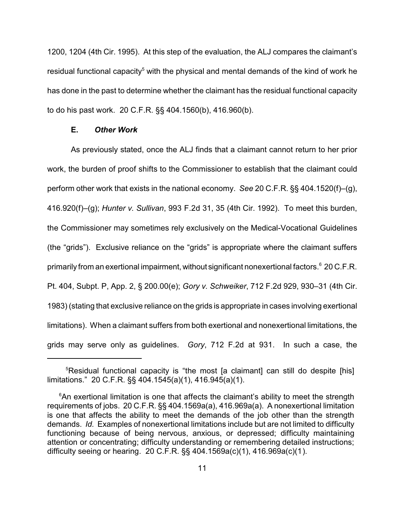1200, 1204 (4th Cir. 1995). At this step of the evaluation, the ALJ compares the claimant's residual functional capacity<sup>5</sup> with the physical and mental demands of the kind of work he has done in the past to determine whether the claimant has the residual functional capacity to do his past work. 20 C.F.R. §§ 404.1560(b), 416.960(b).

# **E.** *Other Work*

As previously stated, once the ALJ finds that a claimant cannot return to her prior work, the burden of proof shifts to the Commissioner to establish that the claimant could perform other work that exists in the national economy. *See* 20 C.F.R. §§ 404.1520(f)–(g), 416.920(f)–(g); *Hunter v. Sullivan*, 993 F.2d 31, 35 (4th Cir. 1992). To meet this burden, the Commissioner may sometimes rely exclusively on the Medical-Vocational Guidelines (the "grids"). Exclusive reliance on the "grids" is appropriate where the claimant suffers primarily from an exertional impairment, without significant nonexertional factors.<sup>6</sup> 20 C.F.R. Pt. 404, Subpt. P, App. 2, § 200.00(e); *Gory v. Schweiker*, 712 F.2d 929, 930–31 (4th Cir. 1983) (stating that exclusive reliance on the grids is appropriate in cases involving exertional limitations). When a claimant suffers from both exertional and nonexertional limitations, the grids may serve only as guidelines. *Gory*, 712 F.2d at 931. In such a case, the

<sup>&</sup>lt;sup>5</sup>Residual functional capacity is "the most [a claimant] can still do despite [his] limitations." 20 C.F.R. §§ 404.1545(a)(1), 416.945(a)(1).

 $6$ An exertional limitation is one that affects the claimant's ability to meet the strength requirements of jobs. 20 C.F.R. §§ 404.1569a(a), 416.969a(a). A nonexertional limitation is one that affects the ability to meet the demands of the job other than the strength demands. *Id.* Examples of nonexertional limitations include but are not limited to difficulty functioning because of being nervous, anxious, or depressed; difficulty maintaining attention or concentrating; difficulty understanding or remembering detailed instructions; difficulty seeing or hearing. 20 C.F.R. §§ 404.1569a(c)(1), 416.969a(c)(1).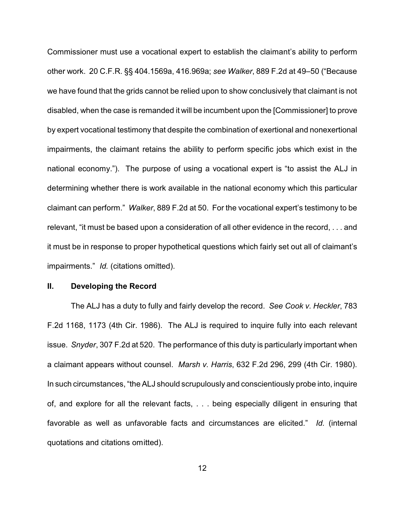Commissioner must use a vocational expert to establish the claimant's ability to perform other work. 20 C.F.R. §§ 404.1569a, 416.969a; *see Walker*, 889 F.2d at 49–50 ("Because we have found that the grids cannot be relied upon to show conclusively that claimant is not disabled, when the case is remanded it will be incumbent upon the [Commissioner] to prove by expert vocational testimony that despite the combination of exertional and nonexertional impairments, the claimant retains the ability to perform specific jobs which exist in the national economy."). The purpose of using a vocational expert is "to assist the ALJ in determining whether there is work available in the national economy which this particular claimant can perform." *Walker*, 889 F.2d at 50. For the vocational expert's testimony to be relevant, "it must be based upon a consideration of all other evidence in the record, . . . and it must be in response to proper hypothetical questions which fairly set out all of claimant's impairments." *Id.* (citations omitted).

### **II. Developing the Record**

The ALJ has a duty to fully and fairly develop the record. *See Cook v. Heckler*, 783 F.2d 1168, 1173 (4th Cir. 1986). The ALJ is required to inquire fully into each relevant issue. *Snyder*, 307 F.2d at 520. The performance of this duty is particularly important when a claimant appears without counsel. *Marsh v. Harris*, 632 F.2d 296, 299 (4th Cir. 1980). In such circumstances, "the ALJ should scrupulously and conscientiously probe into, inquire of, and explore for all the relevant facts, . . . being especially diligent in ensuring that favorable as well as unfavorable facts and circumstances are elicited." *Id.* (internal quotations and citations omitted).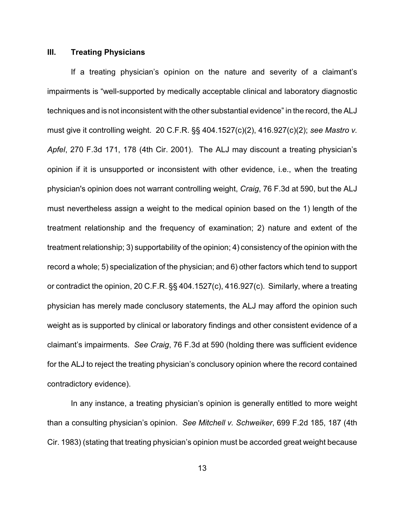# **III. Treating Physicians**

If a treating physician's opinion on the nature and severity of a claimant's impairments is "well-supported by medically acceptable clinical and laboratory diagnostic techniques and is not inconsistent with the other substantial evidence" in the record, the ALJ must give it controlling weight. 20 C.F.R. §§ 404.1527(c)(2), 416.927(c)(2); *see Mastro v. Apfel*, 270 F.3d 171, 178 (4th Cir. 2001). The ALJ may discount a treating physician's opinion if it is unsupported or inconsistent with other evidence, i.e., when the treating physician's opinion does not warrant controlling weight, *Craig*, 76 F.3d at 590, but the ALJ must nevertheless assign a weight to the medical opinion based on the 1) length of the treatment relationship and the frequency of examination; 2) nature and extent of the treatment relationship; 3) supportability of the opinion; 4) consistency of the opinion with the record a whole; 5) specialization of the physician; and 6) other factors which tend to support or contradict the opinion, 20 C.F.R. §§ 404.1527(c), 416.927(c). Similarly, where a treating physician has merely made conclusory statements, the ALJ may afford the opinion such weight as is supported by clinical or laboratory findings and other consistent evidence of a claimant's impairments. *See Craig*, 76 F.3d at 590 (holding there was sufficient evidence for the ALJ to reject the treating physician's conclusory opinion where the record contained contradictory evidence).

In any instance, a treating physician's opinion is generally entitled to more weight than a consulting physician's opinion. *See Mitchell v. Schweiker*, 699 F.2d 185, 187 (4th Cir. 1983) (stating that treating physician's opinion must be accorded great weight because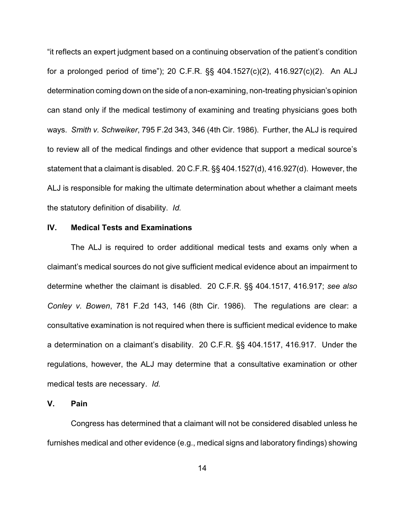"it reflects an expert judgment based on a continuing observation of the patient's condition for a prolonged period of time"); 20 C.F.R. §§ 404.1527(c)(2), 416.927(c)(2). An ALJ determination coming down on the side of a non-examining, non-treating physician's opinion can stand only if the medical testimony of examining and treating physicians goes both ways. *Smith v. Schweiker*, 795 F.2d 343, 346 (4th Cir. 1986). Further, the ALJ is required to review all of the medical findings and other evidence that support a medical source's statement that a claimant is disabled. 20 C.F.R. §§ 404.1527(d), 416.927(d). However, the ALJ is responsible for making the ultimate determination about whether a claimant meets the statutory definition of disability. *Id.*

# **IV. Medical Tests and Examinations**

The ALJ is required to order additional medical tests and exams only when a claimant's medical sources do not give sufficient medical evidence about an impairment to determine whether the claimant is disabled. 20 C.F.R. §§ 404.1517, 416.917; *see also Conley v. Bowen*, 781 F.2d 143, 146 (8th Cir. 1986). The regulations are clear: a consultative examination is not required when there is sufficient medical evidence to make a determination on a claimant's disability. 20 C.F.R. §§ 404.1517, 416.917. Under the regulations, however, the ALJ may determine that a consultative examination or other medical tests are necessary. *Id.*

#### **V. Pain**

Congress has determined that a claimant will not be considered disabled unless he furnishes medical and other evidence (e.g., medical signs and laboratory findings) showing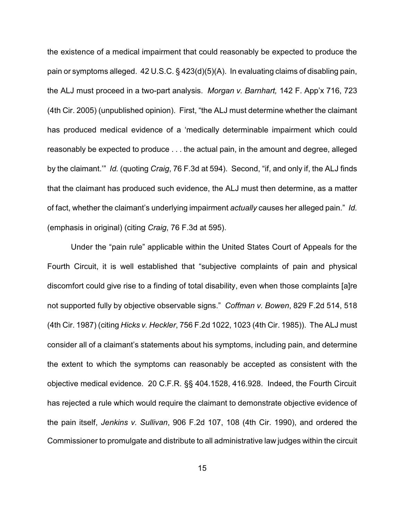the existence of a medical impairment that could reasonably be expected to produce the pain or symptoms alleged. 42 U.S.C. § 423(d)(5)(A). In evaluating claims of disabling pain, the ALJ must proceed in a two-part analysis. *Morgan v. Barnhart,* 142 F. App'x 716, 723 (4th Cir. 2005) (unpublished opinion). First, "the ALJ must determine whether the claimant has produced medical evidence of a 'medically determinable impairment which could reasonably be expected to produce . . . the actual pain, in the amount and degree, alleged by the claimant.'" *Id.* (quoting *Craig*, 76 F.3d at 594). Second, "if, and only if, the ALJ finds that the claimant has produced such evidence, the ALJ must then determine, as a matter of fact, whether the claimant's underlying impairment *actually* causes her alleged pain." *Id.* (emphasis in original) (citing *Craig*, 76 F.3d at 595).

Under the "pain rule" applicable within the United States Court of Appeals for the Fourth Circuit, it is well established that "subjective complaints of pain and physical discomfort could give rise to a finding of total disability, even when those complaints [a]re not supported fully by objective observable signs." *Coffman v. Bowen*, 829 F.2d 514, 518 (4th Cir. 1987) (citing *Hicks v. Heckler*, 756 F.2d 1022, 1023 (4th Cir. 1985)). The ALJ must consider all of a claimant's statements about his symptoms, including pain, and determine the extent to which the symptoms can reasonably be accepted as consistent with the objective medical evidence. 20 C.F.R. §§ 404.1528, 416.928. Indeed, the Fourth Circuit has rejected a rule which would require the claimant to demonstrate objective evidence of the pain itself, *Jenkins v. Sullivan*, 906 F.2d 107, 108 (4th Cir. 1990), and ordered the Commissioner to promulgate and distribute to all administrative law judges within the circuit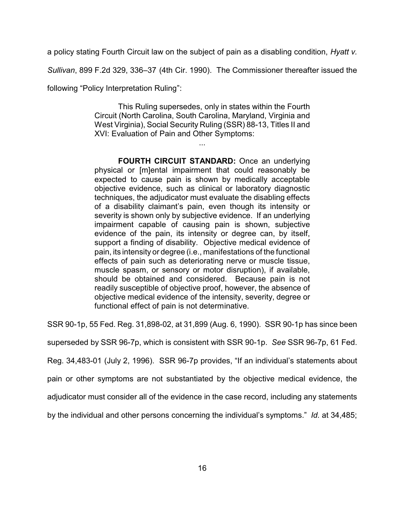a policy stating Fourth Circuit law on the subject of pain as a disabling condition, *Hyatt v.*

*Sullivan*, 899 F.2d 329, 336–37 (4th Cir. 1990). The Commissioner thereafter issued the

following "Policy Interpretation Ruling":

This Ruling supersedes, only in states within the Fourth Circuit (North Carolina, South Carolina, Maryland, Virginia and West Virginia), Social Security Ruling (SSR) 88-13, Titles II and XVI: Evaluation of Pain and Other Symptoms:

...

**FOURTH CIRCUIT STANDARD:** Once an underlying physical or [m]ental impairment that could reasonably be expected to cause pain is shown by medically acceptable objective evidence, such as clinical or laboratory diagnostic techniques, the adjudicator must evaluate the disabling effects of a disability claimant's pain, even though its intensity or severity is shown only by subjective evidence. If an underlying impairment capable of causing pain is shown, subjective evidence of the pain, its intensity or degree can, by itself, support a finding of disability. Objective medical evidence of pain, its intensity or degree (i.e., manifestations of the functional effects of pain such as deteriorating nerve or muscle tissue, muscle spasm, or sensory or motor disruption), if available, should be obtained and considered. Because pain is not readily susceptible of objective proof, however, the absence of objective medical evidence of the intensity, severity, degree or functional effect of pain is not determinative.

SSR 90-1p, 55 Fed. Reg. 31,898-02, at 31,899 (Aug. 6, 1990). SSR 90-1p has since been

superseded by SSR 96-7p, which is consistent with SSR 90-1p. *See* SSR 96-7p, 61 Fed.

Reg. 34,483-01 (July 2, 1996). SSR 96-7p provides, "If an individual's statements about

pain or other symptoms are not substantiated by the objective medical evidence, the

adjudicator must consider all of the evidence in the case record, including any statements

by the individual and other persons concerning the individual's symptoms." *Id.* at 34,485;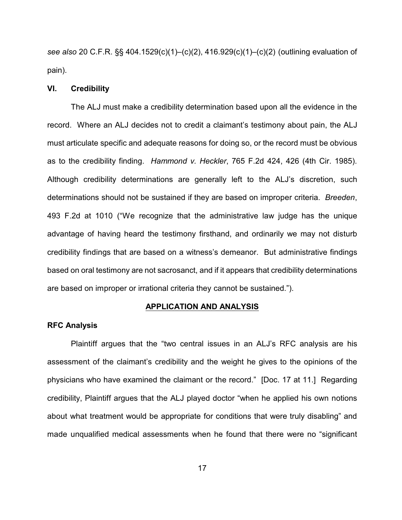*see also* 20 C.F.R. §§ 404.1529(c)(1)–(c)(2), 416.929(c)(1)–(c)(2) (outlining evaluation of pain).

# **VI. Credibility**

The ALJ must make a credibility determination based upon all the evidence in the record. Where an ALJ decides not to credit a claimant's testimony about pain, the ALJ must articulate specific and adequate reasons for doing so, or the record must be obvious as to the credibility finding. *Hammond v. Heckler*, 765 F.2d 424, 426 (4th Cir. 1985). Although credibility determinations are generally left to the ALJ's discretion, such determinations should not be sustained if they are based on improper criteria. *Breeden*, 493 F.2d at 1010 ("We recognize that the administrative law judge has the unique advantage of having heard the testimony firsthand, and ordinarily we may not disturb credibility findings that are based on a witness's demeanor. But administrative findings based on oral testimony are not sacrosanct, and if it appears that credibility determinations are based on improper or irrational criteria they cannot be sustained.").

# **APPLICATION AND ANALYSIS**

### **RFC Analysis**

Plaintiff argues that the "two central issues in an ALJ's RFC analysis are his assessment of the claimant's credibility and the weight he gives to the opinions of the physicians who have examined the claimant or the record." [Doc. 17 at 11.] Regarding credibility, Plaintiff argues that the ALJ played doctor "when he applied his own notions about what treatment would be appropriate for conditions that were truly disabling" and made unqualified medical assessments when he found that there were no "significant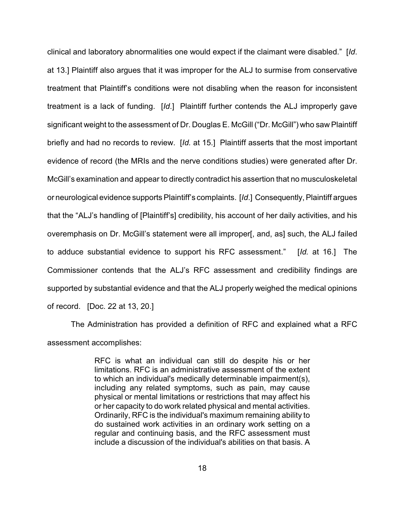clinical and laboratory abnormalities one would expect if the claimant were disabled." [*Id*. at 13.] Plaintiff also argues that it was improper for the ALJ to surmise from conservative treatment that Plaintiff's conditions were not disabling when the reason for inconsistent treatment is a lack of funding. [*Id*.] Plaintiff further contends the ALJ improperly gave significant weight to the assessment of Dr. Douglas E. McGill ("Dr. McGill") who saw Plaintiff briefly and had no records to review. [*Id.* at 15.] Plaintiff asserts that the most important evidence of record (the MRIs and the nerve conditions studies) were generated after Dr. McGill's examination and appear to directly contradict his assertion that no musculoskeletal or neurological evidence supports Plaintiff's complaints. [*Id*.] Consequently, Plaintiff argues that the "ALJ's handling of [Plaintiff's] credibility, his account of her daily activities, and his overemphasis on Dr. McGill's statement were all improper[, and, as] such, the ALJ failed to adduce substantial evidence to support his RFC assessment." [*Id.* at 16.] The Commissioner contends that the ALJ's RFC assessment and credibility findings are supported by substantial evidence and that the ALJ properly weighed the medical opinions of record. [Doc. 22 at 13, 20.]

The Administration has provided a definition of RFC and explained what a RFC assessment accomplishes:

> RFC is what an individual can still do despite his or her limitations. RFC is an administrative assessment of the extent to which an individual's medically determinable impairment(s), including any related symptoms, such as pain, may cause physical or mental limitations or restrictions that may affect his or her capacity to do work related physical and mental activities. Ordinarily, RFC is the individual's maximum remaining ability to do sustained work activities in an ordinary work setting on a regular and continuing basis, and the RFC assessment must include a discussion of the individual's abilities on that basis. A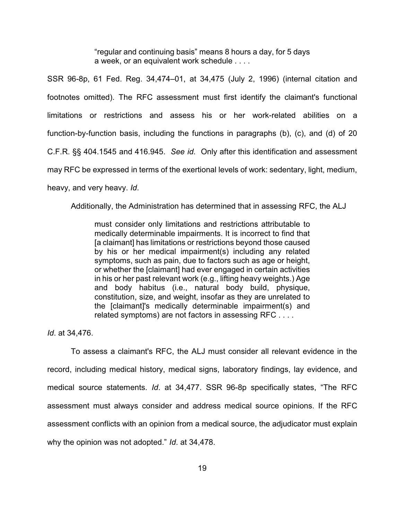"regular and continuing basis" means 8 hours a day, for 5 days a week, or an equivalent work schedule . . . .

SSR 96-8p, 61 Fed. Reg. 34,474–01, at 34,475 (July 2, 1996) (internal citation and footnotes omitted). The RFC assessment must first identify the claimant's functional limitations or restrictions and assess his or her work-related abilities on a function-by-function basis, including the functions in paragraphs (b), (c), and (d) of 20 C.F.R. §§ 404.1545 and 416.945. *See id.* Only after this identification and assessment may RFC be expressed in terms of the exertional levels of work: sedentary, light, medium, heavy, and very heavy. *Id*.

Additionally, the Administration has determined that in assessing RFC, the ALJ

must consider only limitations and restrictions attributable to medically determinable impairments. It is incorrect to find that [a claimant] has limitations or restrictions beyond those caused by his or her medical impairment(s) including any related symptoms, such as pain, due to factors such as age or height, or whether the [claimant] had ever engaged in certain activities in his or her past relevant work (e.g., lifting heavy weights.) Age and body habitus (i.e., natural body build, physique, constitution, size, and weight, insofar as they are unrelated to the [claimant]'s medically determinable impairment(s) and related symptoms) are not factors in assessing RFC . . . .

*Id*. at 34,476.

To assess a claimant's RFC, the ALJ must consider all relevant evidence in the record, including medical history, medical signs, laboratory findings, lay evidence, and medical source statements. *Id*. at 34,477. SSR 96-8p specifically states, "The RFC assessment must always consider and address medical source opinions. If the RFC assessment conflicts with an opinion from a medical source, the adjudicator must explain why the opinion was not adopted." *Id*. at 34,478.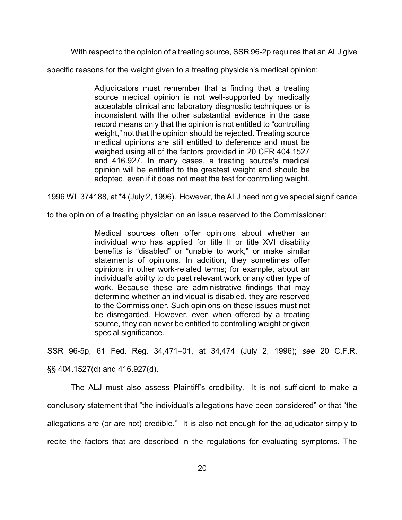With respect to the opinion of a treating source, SSR 96-2p requires that an ALJ give

specific reasons for the weight given to a treating physician's medical opinion:

Adjudicators must remember that a finding that a treating source medical opinion is not well-supported by medically acceptable clinical and laboratory diagnostic techniques or is inconsistent with the other substantial evidence in the case record means only that the opinion is not entitled to "controlling weight," not that the opinion should be rejected. Treating source medical opinions are still entitled to deference and must be weighed using all of the factors provided in 20 CFR 404.1527 and 416.927. In many cases, a treating source's medical opinion will be entitled to the greatest weight and should be adopted, even if it does not meet the test for controlling weight.

1996 WL 374188, at \*4 (July 2, 1996). However, the ALJ need not give special significance

to the opinion of a treating physician on an issue reserved to the Commissioner:

Medical sources often offer opinions about whether an individual who has applied for title II or title XVI disability benefits is "disabled" or "unable to work," or make similar statements of opinions. In addition, they sometimes offer opinions in other work-related terms; for example, about an individual's ability to do past relevant work or any other type of work. Because these are administrative findings that may determine whether an individual is disabled, they are reserved to the Commissioner. Such opinions on these issues must not be disregarded. However, even when offered by a treating source, they can never be entitled to controlling weight or given special significance.

SSR 96-5p, 61 Fed. Reg. 34,471–01, at 34,474 (July 2, 1996); *see* 20 C.F.R.

§§ 404.1527(d) and 416.927(d).

The ALJ must also assess Plaintiff's credibility. It is not sufficient to make a conclusory statement that "the individual's allegations have been considered" or that "the allegations are (or are not) credible." It is also not enough for the adjudicator simply to recite the factors that are described in the regulations for evaluating symptoms. The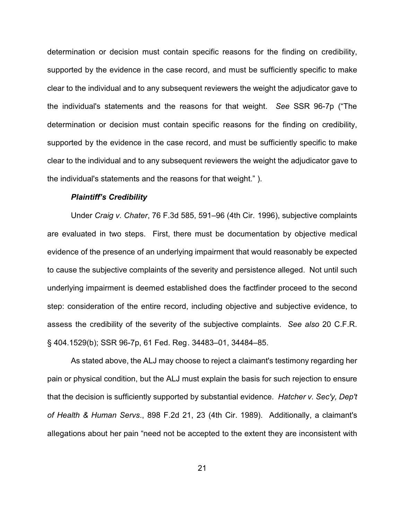determination or decision must contain specific reasons for the finding on credibility, supported by the evidence in the case record, and must be sufficiently specific to make clear to the individual and to any subsequent reviewers the weight the adjudicator gave to the individual's statements and the reasons for that weight. *See* SSR 96-7p ("The determination or decision must contain specific reasons for the finding on credibility, supported by the evidence in the case record, and must be sufficiently specific to make clear to the individual and to any subsequent reviewers the weight the adjudicator gave to the individual's statements and the reasons for that weight." ).

#### *Plaintiff's Credibility*

Under *Craig v. Chater*, 76 F.3d 585, 591–96 (4th Cir. 1996), subjective complaints are evaluated in two steps. First, there must be documentation by objective medical evidence of the presence of an underlying impairment that would reasonably be expected to cause the subjective complaints of the severity and persistence alleged. Not until such underlying impairment is deemed established does the factfinder proceed to the second step: consideration of the entire record, including objective and subjective evidence, to assess the credibility of the severity of the subjective complaints. *See also* 20 C.F.R. § 404.1529(b); SSR 96-7p, 61 Fed. Reg. 34483–01, 34484–85.

As stated above, the ALJ may choose to reject a claimant's testimony regarding her pain or physical condition, but the ALJ must explain the basis for such rejection to ensure that the decision is sufficiently supported by substantial evidence. *Hatcher v. Sec'y, Dep't of Health & Human Servs*., 898 F.2d 21, 23 (4th Cir. 1989). Additionally, a claimant's allegations about her pain "need not be accepted to the extent they are inconsistent with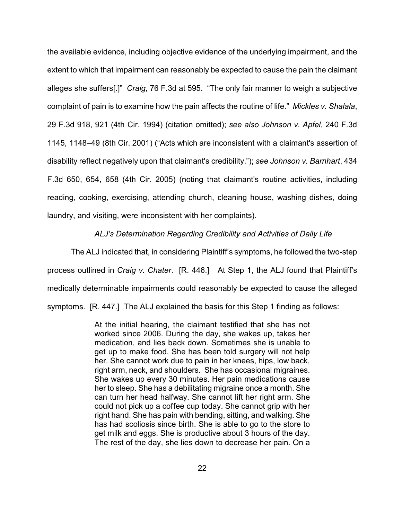the available evidence, including objective evidence of the underlying impairment, and the extent to which that impairment can reasonably be expected to cause the pain the claimant alleges she suffers[.]" *Craig*, 76 F.3d at 595. "The only fair manner to weigh a subjective complaint of pain is to examine how the pain affects the routine of life." *Mickles v. Shalala*, 29 F.3d 918, 921 (4th Cir. 1994) (citation omitted); *see also Johnson v. Apfel*, 240 F.3d 1145, 1148–49 (8th Cir. 2001) ("Acts which are inconsistent with a claimant's assertion of disability reflect negatively upon that claimant's credibility."); *see Johnson v. Barnhart*, 434 F.3d 650, 654, 658 (4th Cir. 2005) (noting that claimant's routine activities, including reading, cooking, exercising, attending church, cleaning house, washing dishes, doing laundry, and visiting, were inconsistent with her complaints).

# *ALJ's Determination Regarding Credibility and Activities of Daily Life*

The ALJ indicated that, in considering Plaintiff's symptoms, he followed the two-step process outlined in *Craig v. Chater*. [R. 446.] At Step 1, the ALJ found that Plaintiff's medically determinable impairments could reasonably be expected to cause the alleged symptoms. [R. 447.] The ALJ explained the basis for this Step 1 finding as follows:

> At the initial hearing, the claimant testified that she has not worked since 2006. During the day, she wakes up, takes her medication, and lies back down. Sometimes she is unable to get up to make food. She has been told surgery will not help her. She cannot work due to pain in her knees, hips, low back, right arm, neck, and shoulders. She has occasional migraines. She wakes up every 30 minutes. Her pain medications cause her to sleep. She has a debilitating migraine once a month. She can turn her head halfway. She cannot lift her right arm. She could not pick up a coffee cup today. She cannot grip with her right hand. She has pain with bending, sitting, and walking. She has had scoliosis since birth. She is able to go to the store to get milk and eggs. She is productive about 3 hours of the day. The rest of the day, she lies down to decrease her pain. On a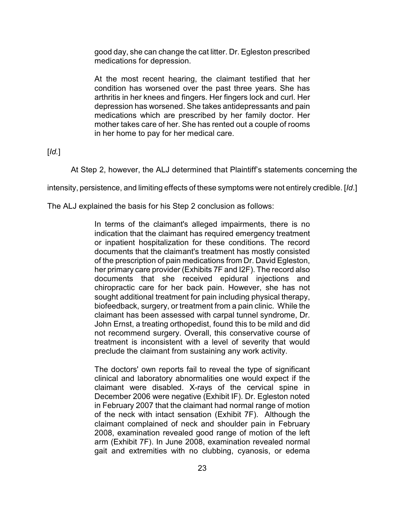good day, she can change the cat litter. Dr. Egleston prescribed medications for depression.

At the most recent hearing, the claimant testified that her condition has worsened over the past three years. She has arthritis in her knees and fingers. Her fingers lock and curl. Her depression has worsened. She takes antidepressants and pain medications which are prescribed by her family doctor. Her mother takes care of her. She has rented out a couple of rooms in her home to pay for her medical care.

[*Id.*]

At Step 2, however, the ALJ determined that Plaintiff's statements concerning the

intensity, persistence, and limiting effects of these symptoms were not entirely credible. [*Id*.]

The ALJ explained the basis for his Step 2 conclusion as follows:

In terms of the claimant's alleged impairments, there is no indication that the claimant has required emergency treatment or inpatient hospitalization for these conditions. The record documents that the claimant's treatment has mostly consisted of the prescription of pain medications from Dr. David Egleston, her primary care provider (Exhibits 7F and I2F). The record also documents that she received epidural injections and chiropractic care for her back pain. However, she has not sought additional treatment for pain including physical therapy, biofeedback, surgery, or treatment from a pain clinic. While the claimant has been assessed with carpal tunnel syndrome, Dr. John Ernst, a treating orthopedist, found this to be mild and did not recommend surgery. Overall, this conservative course of treatment is inconsistent with a level of severity that would preclude the claimant from sustaining any work activity.

The doctors' own reports fail to reveal the type of significant clinical and laboratory abnormalities one would expect if the claimant were disabled. X-rays of the cervical spine in December 2006 were negative (Exhibit IF). Dr. Egleston noted in February 2007 that the claimant had normal range of motion of the neck with intact sensation (Exhibit 7F). Although the claimant complained of neck and shoulder pain in February 2008, examination revealed good range of motion of the left arm (Exhibit 7F). In June 2008, examination revealed normal gait and extremities with no clubbing, cyanosis, or edema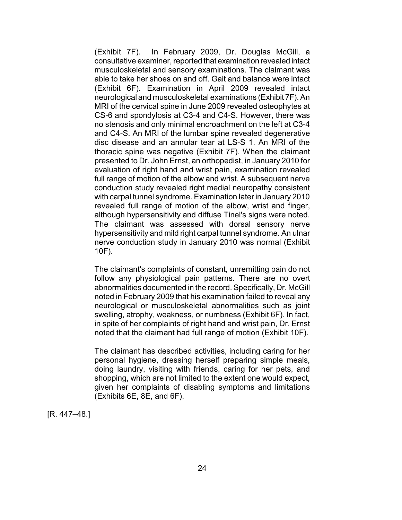(Exhibit 7F). In February 2009, Dr. Douglas McGill, a consultative examiner, reported that examination revealed intact musculoskeletal and sensory examinations. The claimant was able to take her shoes on and off. Gait and balance were intact (Exhibit 6F). Examination in April 2009 revealed intact neurological and musculoskeletal examinations (Exhibit 7F). An MRI of the cervical spine in June 2009 revealed osteophytes at CS-6 and spondylosis at C3-4 and C4-S. However, there was no stenosis and only minimal encroachment on the left at C3-4 and C4-S. An MRI of the lumbar spine revealed degenerative disc disease and an annular tear at LS-S 1. An MRI of the thoracic spine was negative (Exhibit 7F). When the claimant presented to Dr. John Ernst, an orthopedist, in January 2010 for evaluation of right hand and wrist pain, examination revealed full range of motion of the elbow and wrist. A subsequent nerve conduction study revealed right medial neuropathy consistent with carpal tunnel syndrome. Examination later in January 2010 revealed full range of motion of the elbow, wrist and finger, although hypersensitivity and diffuse Tinel's signs were noted. The claimant was assessed with dorsal sensory nerve hypersensitivity and mild right carpal tunnel syndrome. An ulnar nerve conduction study in January 2010 was normal (Exhibit 10F).

The claimant's complaints of constant, unremitting pain do not follow any physiological pain patterns. There are no overt abnormalities documented in the record. Specifically, Dr. McGill noted in February 2009 that his examination failed to reveal any neurological or musculoskeletal abnormalities such as joint swelling, atrophy, weakness, or numbness (Exhibit 6F). In fact, in spite of her complaints of right hand and wrist pain, Dr. Ernst noted that the claimant had full range of motion (Exhibit 10F).

The claimant has described activities, including caring for her personal hygiene, dressing herself preparing simple meals, doing laundry, visiting with friends, caring for her pets, and shopping, which are not limited to the extent one would expect, given her complaints of disabling symptoms and limitations (Exhibits 6E, 8E, and 6F).

[R. 447–48.]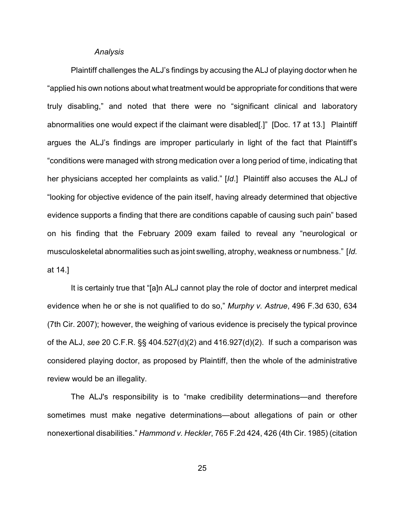### *Analysis*

Plaintiff challenges the ALJ's findings by accusing the ALJ of playing doctor when he "applied his own notions about what treatment would be appropriate for conditions that were truly disabling," and noted that there were no "significant clinical and laboratory abnormalities one would expect if the claimant were disabled[.]" [Doc. 17 at 13.] Plaintiff argues the ALJ's findings are improper particularly in light of the fact that Plaintiff's "conditions were managed with strong medication over a long period of time, indicating that her physicians accepted her complaints as valid." [*Id*.] Plaintiff also accuses the ALJ of "looking for objective evidence of the pain itself, having already determined that objective evidence supports a finding that there are conditions capable of causing such pain" based on his finding that the February 2009 exam failed to reveal any "neurological or musculoskeletal abnormalities such as joint swelling, atrophy, weakness or numbness." [*Id.* at 14.]

It is certainly true that "[a]n ALJ cannot play the role of doctor and interpret medical evidence when he or she is not qualified to do so," *Murphy v. Astrue*, 496 F.3d 630, 634 (7th Cir. 2007); however, the weighing of various evidence is precisely the typical province of the ALJ, *see* 20 C.F.R. §§ 404.527(d)(2) and 416.927(d)(2). If such a comparison was considered playing doctor, as proposed by Plaintiff, then the whole of the administrative review would be an illegality.

The ALJ's responsibility is to "make credibility determinations—and therefore sometimes must make negative determinations—about allegations of pain or other nonexertional disabilities." *Hammond v. Heckler*, 765 F.2d 424, 426 (4th Cir. 1985) (citation

25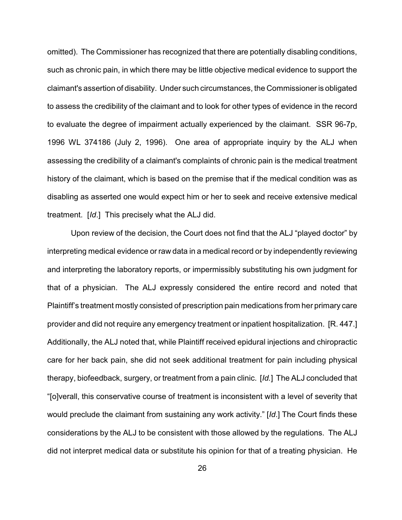omitted). The Commissioner has recognized that there are potentially disabling conditions, such as chronic pain, in which there may be little objective medical evidence to support the claimant's assertion of disability. Under such circumstances, the Commissioner is obligated to assess the credibility of the claimant and to look for other types of evidence in the record to evaluate the degree of impairment actually experienced by the claimant. SSR 96-7p, 1996 WL 374186 (July 2, 1996). One area of appropriate inquiry by the ALJ when assessing the credibility of a claimant's complaints of chronic pain is the medical treatment history of the claimant, which is based on the premise that if the medical condition was as disabling as asserted one would expect him or her to seek and receive extensive medical treatment. [*Id*.] This precisely what the ALJ did.

Upon review of the decision, the Court does not find that the ALJ "played doctor" by interpreting medical evidence or raw data in a medical record or by independently reviewing and interpreting the laboratory reports, or impermissibly substituting his own judgment for that of a physician. The ALJ expressly considered the entire record and noted that Plaintiff's treatment mostly consisted of prescription pain medications from her primary care provider and did not require any emergency treatment or inpatient hospitalization. [R. 447.] Additionally, the ALJ noted that, while Plaintiff received epidural injections and chiropractic care for her back pain, she did not seek additional treatment for pain including physical therapy, biofeedback, surgery, or treatment from a pain clinic. [*Id.*] The ALJ concluded that "[o]verall, this conservative course of treatment is inconsistent with a level of severity that would preclude the claimant from sustaining any work activity." [*Id*.] The Court finds these considerations by the ALJ to be consistent with those allowed by the regulations. The ALJ did not interpret medical data or substitute his opinion for that of a treating physician. He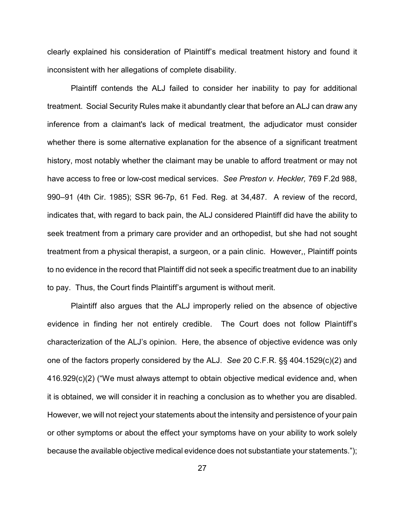clearly explained his consideration of Plaintiff's medical treatment history and found it inconsistent with her allegations of complete disability.

Plaintiff contends the ALJ failed to consider her inability to pay for additional treatment. Social Security Rules make it abundantly clear that before an ALJ can draw any inference from a claimant's lack of medical treatment, the adjudicator must consider whether there is some alternative explanation for the absence of a significant treatment history, most notably whether the claimant may be unable to afford treatment or may not have access to free or low-cost medical services. *See Preston v. Heckler,* 769 F.2d 988, 990–91 (4th Cir. 1985); SSR 96-7p, 61 Fed. Reg. at 34,487*.* A review of the record, indicates that, with regard to back pain, the ALJ considered Plaintiff did have the ability to seek treatment from a primary care provider and an orthopedist, but she had not sought treatment from a physical therapist, a surgeon, or a pain clinic. However,, Plaintiff points to no evidence in the record that Plaintiff did not seek a specific treatment due to an inability to pay. Thus, the Court finds Plaintiff's argument is without merit.

Plaintiff also argues that the ALJ improperly relied on the absence of objective evidence in finding her not entirely credible. The Court does not follow Plaintiff's characterization of the ALJ's opinion. Here, the absence of objective evidence was only one of the factors properly considered by the ALJ. *See* 20 C.F.R. §§ 404.1529(c)(2) and 416.929(c)(2) ("We must always attempt to obtain objective medical evidence and, when it is obtained, we will consider it in reaching a conclusion as to whether you are disabled. However, we will not reject your statements about the intensity and persistence of your pain or other symptoms or about the effect your symptoms have on your ability to work solely because the available objective medical evidence does not substantiate your statements.");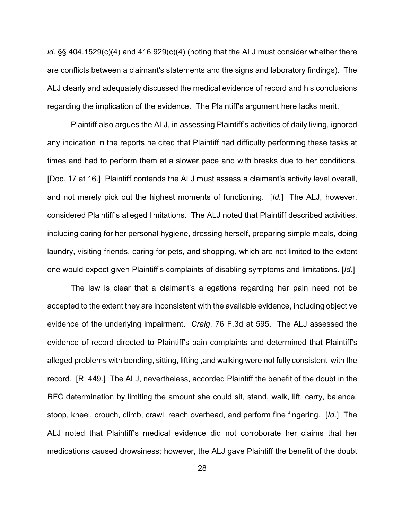*id*. §§ 404.1529(c)(4) and 416.929(c)(4) (noting that the ALJ must consider whether there are conflicts between a claimant's statements and the signs and laboratory findings). The ALJ clearly and adequately discussed the medical evidence of record and his conclusions regarding the implication of the evidence. The Plaintiff's argument here lacks merit.

Plaintiff also argues the ALJ, in assessing Plaintiff's activities of daily living, ignored any indication in the reports he cited that Plaintiff had difficulty performing these tasks at times and had to perform them at a slower pace and with breaks due to her conditions. [Doc. 17 at 16.] Plaintiff contends the ALJ must assess a claimant's activity level overall, and not merely pick out the highest moments of functioning. [*Id.*] The ALJ, however, considered Plaintiff's alleged limitations. The ALJ noted that Plaintiff described activities, including caring for her personal hygiene, dressing herself, preparing simple meals, doing laundry, visiting friends, caring for pets, and shopping, which are not limited to the extent one would expect given Plaintiff's complaints of disabling symptoms and limitations. [*Id.*]

The law is clear that a claimant's allegations regarding her pain need not be accepted to the extent they are inconsistent with the available evidence, including objective evidence of the underlying impairment. *Craig*, 76 F.3d at 595. The ALJ assessed the evidence of record directed to Plaintiff's pain complaints and determined that Plaintiff's alleged problems with bending, sitting, lifting ,and walking were not fully consistent with the record. [R. 449.] The ALJ, nevertheless, accorded Plaintiff the benefit of the doubt in the RFC determination by limiting the amount she could sit, stand, walk, lift, carry, balance, stoop, kneel, crouch, climb, crawl, reach overhead, and perform fine fingering. [*Id.*] The ALJ noted that Plaintiff's medical evidence did not corroborate her claims that her medications caused drowsiness; however, the ALJ gave Plaintiff the benefit of the doubt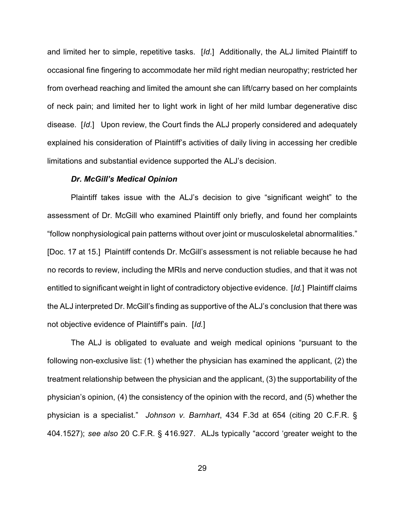and limited her to simple, repetitive tasks. [*Id*.] Additionally, the ALJ limited Plaintiff to occasional fine fingering to accommodate her mild right median neuropathy; restricted her from overhead reaching and limited the amount she can lift/carry based on her complaints of neck pain; and limited her to light work in light of her mild lumbar degenerative disc disease. [*Id*.] Upon review, the Court finds the ALJ properly considered and adequately explained his consideration of Plaintiff's activities of daily living in accessing her credible limitations and substantial evidence supported the ALJ's decision.

#### *Dr. McGill's Medical Opinion*

Plaintiff takes issue with the ALJ's decision to give "significant weight" to the assessment of Dr. McGill who examined Plaintiff only briefly, and found her complaints "follow nonphysiological pain patterns without over joint or musculoskeletal abnormalities." [Doc. 17 at 15.] Plaintiff contends Dr. McGill's assessment is not reliable because he had no records to review, including the MRIs and nerve conduction studies, and that it was not entitled to significant weight in light of contradictory objective evidence. [*Id.*] Plaintiff claims the ALJ interpreted Dr. McGill's finding as supportive of the ALJ's conclusion that there was not objective evidence of Plaintiff's pain. [*Id.*]

The ALJ is obligated to evaluate and weigh medical opinions "pursuant to the following non-exclusive list: (1) whether the physician has examined the applicant, (2) the treatment relationship between the physician and the applicant, (3) the supportability of the physician's opinion, (4) the consistency of the opinion with the record, and (5) whether the physician is a specialist." *Johnson v. Barnhart*, 434 F.3d at 654 (citing 20 C.F.R. § 404.1527); *see also* 20 C.F.R. § 416.927. ALJs typically "accord 'greater weight to the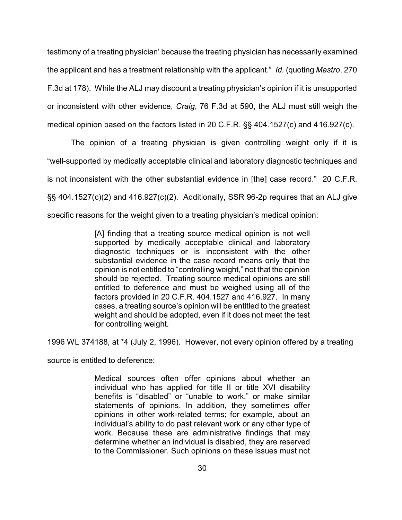testimony of a treating physician' because the treating physician has necessarily examined the applicant and has a treatment relationship with the applicant." *Id.* (quoting *Mastro*, 270 F.3d at 178). While the ALJ may discount a treating physician's opinion if it is unsupported or inconsistent with other evidence, *Craig*, 76 F.3d at 590, the ALJ must still weigh the medical opinion based on the factors listed in 20 C.F.R. §§ 404.1527(c) and 416.927(c).

The opinion of a treating physician is given controlling weight only if it is "well-supported by medically acceptable clinical and laboratory diagnostic techniques and is not inconsistent with the other substantial evidence in [the] case record." 20 C.F.R. §§ 404.1527(c)(2) and 416.927(c)(2). Additionally, SSR 96-2p requires that an ALJ give specific reasons for the weight given to a treating physician's medical opinion:

> [A] finding that a treating source medical opinion is not well supported by medically acceptable clinical and laboratory diagnostic techniques or is inconsistent with the other substantial evidence in the case record means only that the opinion is not entitled to "controlling weight," not that the opinion should be rejected. Treating source medical opinions are still entitled to deference and must be weighed using all of the factors provided in 20 C.F.R. 404.1527 and 416.927. In many cases, a treating source's opinion will be entitled to the greatest weight and should be adopted, even if it does not meet the test for controlling weight.

1996 WL 374188, at \*4 (July 2, 1996). However, not every opinion offered by a treating

source is entitled to deference:

Medical sources often offer opinions about whether an individual who has applied for title II or title XVI disability benefits is "disabled" or "unable to work," or make similar statements of opinions. In addition, they sometimes offer opinions in other work-related terms; for example, about an individual's ability to do past relevant work or any other type of work. Because these are administrative findings that may determine whether an individual is disabled, they are reserved to the Commissioner. Such opinions on these issues must not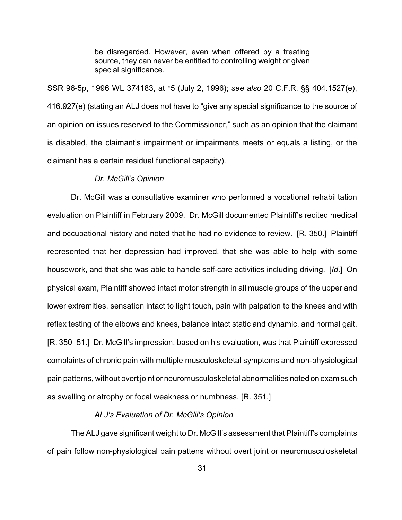be disregarded. However, even when offered by a treating source, they can never be entitled to controlling weight or given special significance.

SSR 96-5p, 1996 WL 374183, at \*5 (July 2, 1996); *see also* 20 C.F.R. §§ 404.1527(e), 416.927(e) (stating an ALJ does not have to "give any special significance to the source of an opinion on issues reserved to the Commissioner," such as an opinion that the claimant is disabled, the claimant's impairment or impairments meets or equals a listing, or the claimant has a certain residual functional capacity).

### *Dr. McGill's Opinion*

Dr. McGill was a consultative examiner who performed a vocational rehabilitation evaluation on Plaintiff in February 2009. Dr. McGill documented Plaintiff's recited medical and occupational history and noted that he had no evidence to review. [R. 350.] Plaintiff represented that her depression had improved, that she was able to help with some housework, and that she was able to handle self-care activities including driving. [*Id*.] On physical exam, Plaintiff showed intact motor strength in all muscle groups of the upper and lower extremities, sensation intact to light touch, pain with palpation to the knees and with reflex testing of the elbows and knees, balance intact static and dynamic, and normal gait. [R. 350–51.] Dr. McGill's impression, based on his evaluation, was that Plaintiff expressed complaints of chronic pain with multiple musculoskeletal symptoms and non-physiological pain patterns, without overt joint or neuromusculoskeletal abnormalities noted on exam such as swelling or atrophy or focal weakness or numbness. [R. 351.]

# *ALJ's Evaluation of Dr. McGill's Opinion*

The ALJ gave significant weight to Dr. McGill's assessment that Plaintiff's complaints of pain follow non-physiological pain pattens without overt joint or neuromusculoskeletal